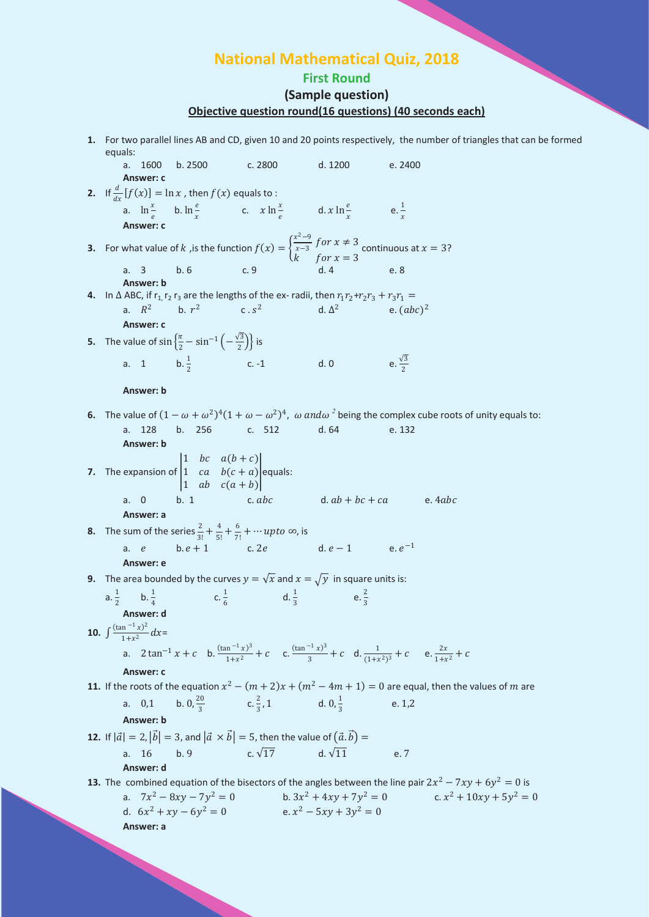# **National Mathematical Quiz, 2018**

## **First Round (Sample question) Objective question round(16 questions) (40 seconds each)**

**1.** For two parallel lines AB and CD, given 10 and 20 points respectively, the number of triangles that can be formed equals:

a. 1600 b. 2500 c. 2800 d. 1200 e. 2400 **Answer: c 2.** If  $\frac{d}{dx}[f(x)] = \ln x$ , then  $f(x)$  equals to : a.  $\ln \frac{x}{e}$  b.  $\ln \frac{e}{x}$  $\int_{c}^{x} \ln \frac{x}{e}$ d.  $x \ln \frac{e}{x}$  e.  $\frac{1}{x}$  $\chi$ **Answer: c 3.** For what value of k, is the function  $f(x) = \left\{ \begin{array}{l} \n\end{array} \right\}$  $\frac{x^2-9}{x-3}$  for  $x \neq 3$  $k$  for  $x = 3$ continuous at  $x = 3$ ? a. 3 b. 6 c. 9 d. 4 e. 8 **Answer: b 4.** In  $\triangle$  ABC, if  $r_1$ ,  $r_2$   $r_3$  are the lengths of the ex- radii, then  $r_1 r_2 + r_2 r_3 + r_3 r_1 =$ <br>a.  $R^2$  b.  $r^2$  c.  $s^2$  d.  $\triangle^2$  e. (ab **a.**  $\Delta^2$  b.  $(abc)^2$ **Answer: c 5.** The value of  $\sin\left\{\frac{\pi}{2} - \sin^{-1}\left(-\frac{\sqrt{3}}{2}\right)\right\}$  is a. 1 b.  $\frac{1}{2}$ c. -1 d. 0 e.  $\frac{\sqrt{3}}{2}$ 2 **Answer: b 6.** The value of  $(1 - \omega + \omega^2)^4 (1 + \omega - \omega^2)^4$ ,  $\omega$  and  $\omega^2$  being the complex cube roots of unity equals to: a. 128 b. 256 c. 512 d. 64 e. 132 **Answer: b 7.** The expansion of 1 bc  $a(b+c)$ 1  $ca$   $b(c + a)$  equals:  $\begin{vmatrix} 1 & ab & c(a+b) \end{vmatrix}$ a. 0 b. 1 c.  $abc$  d.  $ab + bc + ca$  e.  $4abc$ **Answer: a 8.** The sum of the series  $\frac{2}{3!} + \frac{4}{5!} + \frac{6}{7!} + \cdots$  up to  $\infty$ , is a. *e* b.  $e + 1$  c. 2*e* d.  $e - 1$  e.  $e^{-1}$ **Answer: e 9.** The area bounded by the curves  $y = \sqrt{x}$  and  $x = \sqrt{y}$  in square units is:  $a. \frac{1}{2}$  $\frac{1}{2}$  b.  $\frac{1}{4}$ c.  $\frac{1}{c}$  $\frac{1}{6}$  d.  $\frac{1}{3}$  e.  $\frac{2}{3}$ 3 **Answer: d 10.**  $\int \frac{(\tan^{-1} x)^2}{1+x^2} dx =$ a.  $2 \tan^{-1} x + c$  b.  $\frac{(\tan^{-1} x)^3}{1+x^2} + c$  c.  $\frac{(\tan^{-1} x)^3}{3} + c$  d.  $\frac{1}{(1+x^2)^3} + c$  e.  $\frac{2x}{1+x^2} + c$ **Answer: c 11.** If the roots of the equation  $x^2 - (m+2)x + (m^2 - 4m + 1) = 0$  are equal, then the values of m are a.  $0,1$  $\frac{20}{3}$  c.  $\frac{2}{3}$ , 1 d.  $0, \frac{1}{3}$  $\frac{1}{3}$  e. 1,2 **Answer: b 12.** If  $|\vec{a}| = 2$ ,  $|\vec{b}| = 3$ , and  $|\vec{a} \times \vec{b}| = 5$ , then the value of  $(\vec{a}, \vec{b}) =$ a. 16 b. 9 c.  $\sqrt{17}$  d.  $\sqrt{11}$  e. 7 **Answer: d 13.** The combined equation of the bisectors of the angles between the line pair  $2x^2 - 7xy + 6y^2 = 0$  is a.  $7x^2 - 8xy - 7y^2 = 0$  b.  $3x^2 + 4xy + 7y^2 = 0$  c.  $x^2 + 10xy + 5y^2 = 0$ d.  $6x^2 + xy - 6y^2 = 0$  <br>  $e. x^2 - 5xy + 3y^2 = 0$ **Answer: a**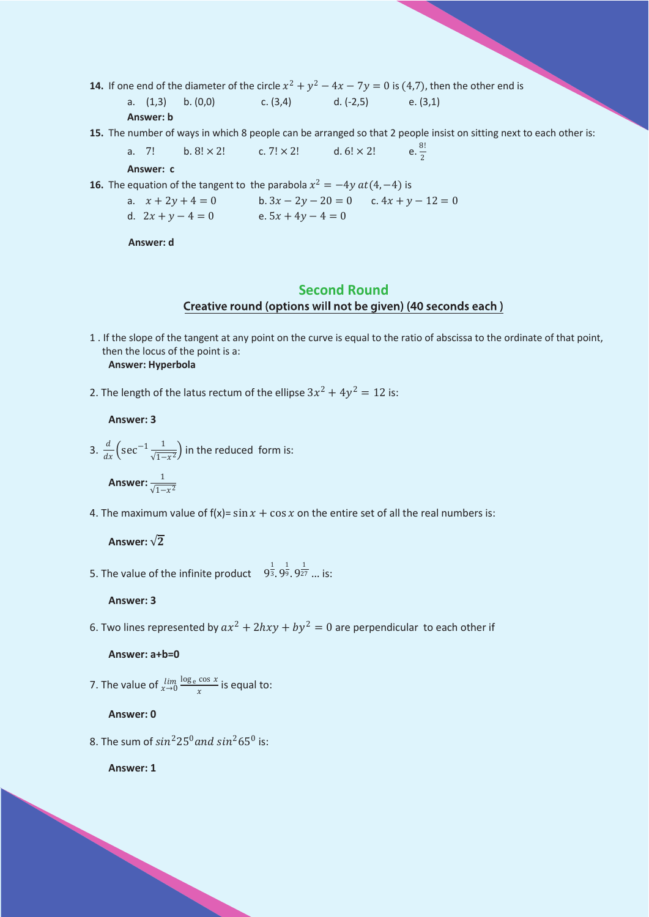**14.** If one end of the diameter of the circle  $x^2 + y^2 - 4x - 7y = 0$  is (4,7), then the other end is

a. 
$$
(1,3)
$$
 b.  $(0,0)$  c.  $(3,4)$  d.  $(-2,5)$  e.  $(3,1)$ 

#### Answer: b

15. The number of ways in which 8 people can be arranged so that 2 people insist on sitting next to each other is:

a. 7! b. 8! × 2! c. 7! × 2! d. 6! × 2! e. 
$$
\frac{8!}{2}
$$

Answer: c

**16.** The equation of the tangent to the parabola  $x^2 = -4y \, at(4, -4)$  is

a.  $x + 2y + 4 = 0$ b.  $3x - 2y - 20 = 0$  c.  $4x + y - 12 = 0$ d.  $2x + y - 4 = 0$  <br> e.  $5x + 4y - 4 = 0$ 

Answer: d

## **Second Round** Creative round (options will not be given) (40 seconds each)

- 1. If the slope of the tangent at any point on the curve is equal to the ratio of abscissa to the ordinate of that point, then the locus of the point is a: Answer: Hyperbola
- 2. The length of the latus rectum of the ellipse  $3x^2 + 4y^2 = 12$  is:

### Answer: 3

3.  $\frac{d}{dx} \left( \sec^{-1} \frac{1}{\sqrt{1-x^2}} \right)$  in the reduced form is:

Answer:  $\frac{1}{\sqrt{1-x^2}}$ 

4. The maximum value of  $f(x) = \sin x + \cos x$  on the entire set of all the real numbers is:

### Answer:  $\sqrt{2}$

5. The value of the infinite product  $9^{\frac{1}{3}}$ ,  $9^{\frac{1}{9}}$ ,  $9^{\frac{1}{27}}$  ... is:

#### Answer: 3

6. Two lines represented by  $ax^2 + 2hxy + by^2 = 0$  are perpendicular to each other if

#### Answer: a+b=0

7. The value of  $\lim_{x\to 0} \frac{\log e \cos x}{x}$  is equal to:

#### Answer: 0

8. The sum of  $sin^2 25^0$  and  $sin^2 65^0$  is:

Answer: 1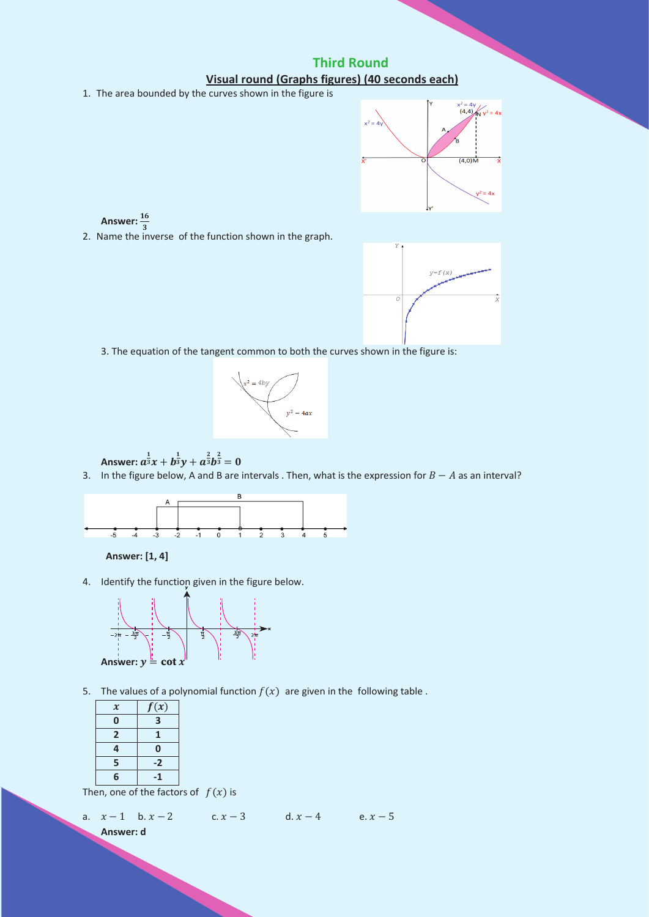**Third Round** Visual round (Graphs figures) (40 seconds each)

1. The area bounded by the curves shown in the figure is



Answer:  $\frac{16}{3}$ 2. Name the inverse of the function shown in the graph.



3. The equation of the tangent common to both the curves shown in the figure is:



Answer:  $a^{\frac{1}{3}}x + b^{\frac{1}{3}}y + a^{\frac{2}{3}}b^{\frac{2}{3}} = 0$ 

3. In the figure below, A and B are intervals. Then, what is the expression for  $B - A$  as an interval?



Answer: [1, 4]

4. Identify the function given in the figure below.



5. The values of a polynomial function  $f(x)$  are given in the following table.

| $\boldsymbol{\mathcal{X}}$ | f(x) |
|----------------------------|------|
| 0                          | 3    |
| $\overline{2}$             | 1    |
| 4                          | 0    |
| 5                          | $-2$ |
| 6                          | -1   |

Then, one of the factors of  $f(x)$  is

a. 
$$
x-1
$$
 b.  $x-2$  c.  $x-3$  d.  $x-4$  e.  $x-5$   
Answer: d